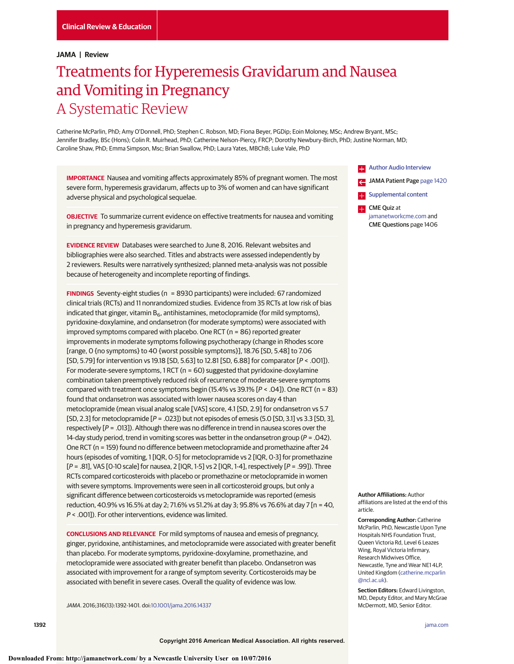# **JAMA | Review**

# Treatments for Hyperemesis Gravidarum and Nausea and Vomiting in Pregnancy A Systematic Review

Catherine McParlin, PhD; Amy O'Donnell, PhD; Stephen C. Robson, MD; Fiona Beyer, PGDip; Eoin Moloney, MSc; Andrew Bryant, MSc; Jennifer Bradley, BSc (Hons); Colin R. Muirhead, PhD; Catherine Nelson-Piercy, FRCP; Dorothy Newbury-Birch, PhD; Justine Norman, MD; Caroline Shaw, PhD; Emma Simpson, Msc; Brian Swallow, PhD; Laura Yates, MBChB; Luke Vale, PhD

**IMPORTANCE** Nausea and vomiting affects approximately 85% of pregnant women. The most severe form, hyperemesis gravidarum, affects up to 3% of women and can have significant adverse physical and psychological sequelae.

**OBJECTIVE** To summarize current evidence on effective treatments for nausea and vomiting in pregnancy and hyperemesis gravidarum.

**EVIDENCE REVIEW** Databases were searched to June 8, 2016. Relevant websites and bibliographies were also searched. Titles and abstracts were assessed independently by 2 reviewers. Results were narratively synthesized; planned meta-analysis was not possible because of heterogeneity and incomplete reporting of findings.

**FINDINGS** Seventy-eight studies (n = 8930 participants) were included: 67 randomized clinical trials (RCTs) and 11 nonrandomized studies. Evidence from 35 RCTs at low risk of bias indicated that ginger, vitamin  $B_6$ , antihistamines, metoclopramide (for mild symptoms), pyridoxine-doxylamine, and ondansetron (for moderate symptoms) were associated with improved symptoms compared with placebo. One RCT (n = 86) reported greater improvements in moderate symptoms following psychotherapy (change in Rhodes score [range, 0 {no symptoms} to 40 {worst possible symptoms}], 18.76 [SD, 5.48] to 7.06 [SD, 5.79] for intervention vs 19.18 [SD, 5.63] to 12.81 [SD, 6.88] for comparator [P < .001]). For moderate-severe symptoms,  $1$  RCT ( $n = 60$ ) suggested that pyridoxine-doxylamine combination taken preemptively reduced risk of recurrence of moderate-severe symptoms compared with treatment once symptoms begin (15.4% vs 39.1%  $[P < .04]$ ). One RCT (n = 83) found that ondansetron was associated with lower nausea scores on day 4 than metoclopramide (mean visual analog scale [VAS] score, 4.1 [SD, 2.9] for ondansetron vs 5.7 [SD, 2.3] for metoclopramide  $[P = .023]$ ) but not episodes of emesis (5.0 [SD, 3.1] vs 3.3 [SD, 3], respectively  $[P = .013]$ ). Although there was no difference in trend in nausea scores over the 14-day study period, trend in vomiting scores was better in the ondansetron group ( $P = .042$ ). One RCT (n = 159) found no difference between metoclopramide and promethazine after 24 hours (episodes of vomiting, 1 [IQR, 0-5] for metoclopramide vs 2 [IQR, 0-3] for promethazine  $[P = .81]$ , VAS [O-10 scale] for nausea, 2 [IQR, 1-5] vs 2 [IQR, 1-4], respectively [P = .99]). Three RCTs compared corticosteroids with placebo or promethazine or metoclopramide in women with severe symptoms. Improvements were seen in all corticosteroid groups, but only a significant difference between corticosteroids vs metoclopramide was reported (emesis reduction, 40.9% vs 16.5% at day 2; 71.6% vs 51.2% at day 3; 95.8% vs 76.6% at day 7 [n = 40, P < .001]). For other interventions, evidence was limited.

**CONCLUSIONS AND RELEVANCE** For mild symptoms of nausea and emesis of pregnancy, ginger, pyridoxine, antihistamines, and metoclopramide were associated with greater benefit than placebo. For moderate symptoms, pyridoxine-doxylamine, promethazine, and metoclopramide were associated with greater benefit than placebo. Ondansetron was associated with improvement for a range of symptom severity. Corticosteroids may be associated with benefit in severe cases. Overall the quality of evidence was low.

JAMA. 2016;316(13):1392-1401. doi[:10.1001/jama.2016.14337](http://jama.jamanetwork.com/article.aspx?doi=10.1001/jama.2016.14337&utm_campaign=articlePDF%26utm_medium=articlePDFlink%26utm_source=articlePDF%26utm_content=jama.2016.14337)

**Example 2** [Author Audio Interview](http://jama.jamanetwork.com/article.aspx?doi=10.1001/jama.2016.14337&utm_campaign=articlePDF%26utm_medium=articlePDFlink%26utm_source=articlePDF%26utm_content=jama.2016.14337)

- JAMA Patient Page [page 1420](http://jama.jamanetwork.com/article.aspx?doi=10.1001/jama.2016.14737&utm_campaign=articlePDF%26utm_medium=articlePDFlink%26utm_source=articlePDF%26utm_content=jama.2016.14337)
- **Examplemental content**
- **CME** Quiz at [jamanetworkcme.com](http://www.jamanetwork.com/cme.aspx?&utm_campaign=articlePDF%26utm_medium=articlePDFlink%26utm_source=articlePDF%26utm_content=jama.2016.14337) and CME Questions page 1406

**Author Affiliations:** Author affiliations are listed at the end of this article.

**Corresponding Author:** Catherine McParlin, PhD, Newcastle Upon Tyne Hospitals NHS Foundation Trust, Queen Victoria Rd, Level 6 Leazes Wing, Royal Victoria Infirmary, Research Midwives Office, Newcastle, Tyne and Wear NE1 4LP, United Kingdom [\(catherine.mcparlin](mailto:catherine.mcparlin@ncl.ac.uk) [@ncl.ac.uk\)](mailto:catherine.mcparlin@ncl.ac.uk).

**Section Editors:** Edward Livingston, MD, Deputy Editor, and Mary McGrae McDermott, MD, Senior Editor.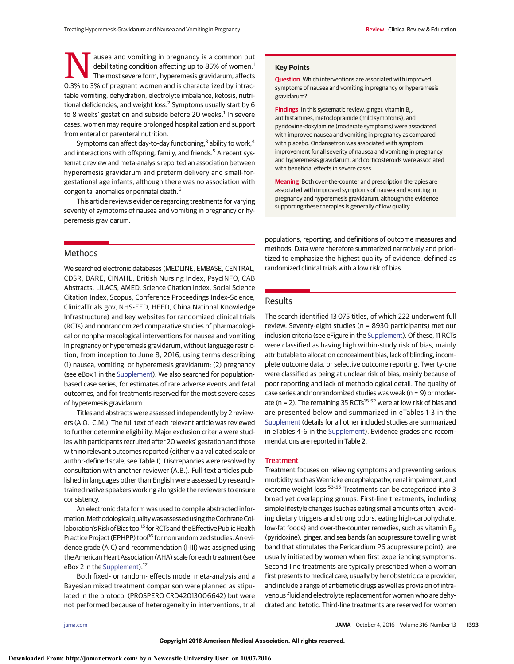The most severe form, hyperemesis gravidarum, affects<br>
The most severe form, hyperemesis gravidarum, affects<br>
2% to 3% of pregnant women and is characterized by intracdebilitating condition affecting up to 85% of women.<sup>1</sup> 0.3% to 3% of pregnant women and is characterized by intractable vomiting, dehydration, electrolyte imbalance, ketosis, nutritional deficiencies, and weight loss.<sup>2</sup> Symptoms usually start by 6 to 8 weeks' gestation and subside before 20 weeks.<sup>1</sup> In severe cases, women may require prolonged hospitalization and support from enteral or parenteral nutrition.

Symptoms can affect day-to-day functioning, $3$  ability to work, $4$ and interactions with offspring, family, and friends.<sup>5</sup> A recent systematic review and meta-analysis reported an association between hyperemesis gravidarum and preterm delivery and small-forgestational age infants, although there was no association with congenital anomalies or perinatal death.6

This article reviews evidence regarding treatments for varying severity of symptoms of nausea and vomiting in pregnancy or hyperemesis gravidarum.

# Methods

We searched electronic databases (MEDLINE, EMBASE, CENTRAL, CDSR, DARE, CINAHL, British Nursing Index, PsycINFO, CAB Abstracts, LILACS, AMED, Science Citation Index, Social Science Citation Index, Scopus, Conference Proceedings Index–Science, ClinicalTrials.gov, NHS-EED, HEED, China National Knowledge Infrastructure) and key websites for randomized clinical trials (RCTs) and nonrandomized comparative studies of pharmacological or nonpharmacological interventions for nausea and vomiting in pregnancy or hyperemesis gravidarum, without language restriction, from inception to June 8, 2016, using terms describing (1) nausea, vomiting, or hyperemesis gravidarum; (2) pregnancy (see eBox 1 in the [Supplement\)](http://jama.jamanetwork.com/article.aspx?doi=10.1001/jama.2016.14337&utm_campaign=articlePDF%26utm_medium=articlePDFlink%26utm_source=articlePDF%26utm_content=jama.2016.14337). We also searched for populationbased case series, for estimates of rare adverse events and fetal outcomes, and for treatments reserved for the most severe cases of hyperemesis gravidarum.

Titles and abstracts were assessed independently by 2 reviewers (A.O., C.M.). The full text of each relevant article was reviewed to further determine eligibility. Major exclusion criteria were studies with participants recruited after 20 weeks' gestation and those with no relevant outcomes reported (either via a validated scale or author-defined scale; see Table 1). Discrepancies were resolved by consultation with another reviewer (A.B.). Full-text articles published in languages other than English were assessed by researchtrained native speakers working alongside the reviewers to ensure consistency.

An electronic data form was used to compile abstracted information. Methodological quality was assessed using the Cochrane Collaboration's Risk of Bias tool<sup>15</sup> for RCTs and the Effective Public Health Practice Project (EPHPP) tool<sup>16</sup> for nonrandomized studies. An evidence grade (A-C) and recommendation (I-III) was assigned using the American Heart Association (AHA) scale for each treatment (see eBox 2 in the [Supplement\)](http://jama.jamanetwork.com/article.aspx?doi=10.1001/jama.2016.14337&utm_campaign=articlePDF%26utm_medium=articlePDFlink%26utm_source=articlePDF%26utm_content=jama.2016.14337).<sup>17</sup>

Both fixed- or random- effects model meta-analysis and a Bayesian mixed treatment comparison were planned as stipulated in the protocol (PROSPERO CRD42013006642) but were not performed because of heterogeneity in interventions, trial

## **Key Points**

**Question** Which interventions are associated with improved symptoms of nausea and vomiting in pregnancy or hyperemesis gravidarum?

**Findings** In this systematic review, ginger, vitamin B<sub>6</sub>, antihistamines, metoclopramide (mild symptoms), and pyridoxine-doxylamine (moderate symptoms) were associated with improved nausea and vomiting in pregnancy as compared with placebo. Ondansetron was associated with symptom improvement for all severity of nausea and vomiting in pregnancy and hyperemesis gravidarum, and corticosteroids were associated with beneficial effects in severe cases.

**Meaning** Both over-the-counter and prescription therapies are associated with improved symptoms of nausea and vomiting in pregnancy and hyperemesis gravidarum, although the evidence supporting these therapies is generally of low quality.

populations, reporting, and definitions of outcome measures and methods. Data were therefore summarized narratively and prioritized to emphasize the highest quality of evidence, defined as randomized clinical trials with a low risk of bias.

# Results

The search identified 13 075 titles, of which 222 underwent full review. Seventy-eight studies (n = 8930 participants) met our inclusion criteria (see eFigure in the [Supplement\)](http://jama.jamanetwork.com/article.aspx?doi=10.1001/jama.2016.14337&utm_campaign=articlePDF%26utm_medium=articlePDFlink%26utm_source=articlePDF%26utm_content=jama.2016.14337). Of these, 11 RCTs were classified as having high within-study risk of bias, mainly attributable to allocation concealment bias, lack of blinding, incomplete outcome data, or selective outcome reporting. Twenty-one were classified as being at unclear risk of bias, mainly because of poor reporting and lack of methodological detail. The quality of case series and nonrandomized studies was weak (n = 9) or moderate ( $n = 2$ ). The remaining 35 RCTs<sup>18-52</sup> were at low risk of bias and are presented below and summarized in eTables 1-3 in the [Supplement](http://jama.jamanetwork.com/article.aspx?doi=10.1001/jama.2016.14337&utm_campaign=articlePDF%26utm_medium=articlePDFlink%26utm_source=articlePDF%26utm_content=jama.2016.14337) (details for all other included studies are summarized in eTables 4-6 in the [Supplement\)](http://jama.jamanetwork.com/article.aspx?doi=10.1001/jama.2016.14337&utm_campaign=articlePDF%26utm_medium=articlePDFlink%26utm_source=articlePDF%26utm_content=jama.2016.14337). Evidence grades and recommendations are reported in Table 2.

### **Treatment**

Treatment focuses on relieving symptoms and preventing serious morbidity such as Wernicke encephalopathy, renal impairment, and extreme weight loss.<sup>53-55</sup> Treatments can be categorized into 3 broad yet overlapping groups. First-line treatments, including simple lifestyle changes (such as eating small amounts often, avoiding dietary triggers and strong odors, eating high-carbohydrate, low-fat foods) and over-the-counter remedies, such as vitamin  $B_6$ (pyridoxine), ginger, and sea bands (an acupressure towelling wrist band that stimulates the Pericardium P6 acupressure point), are usually initiated by women when first experiencing symptoms. Second-line treatments are typically prescribed when a woman first presents to medical care, usually by her obstetric care provider, and include a range of antiemetic drugs as well as provision of intravenous fluid and electrolyte replacement for women who are dehydrated and ketotic. Third-line treatments are reserved for women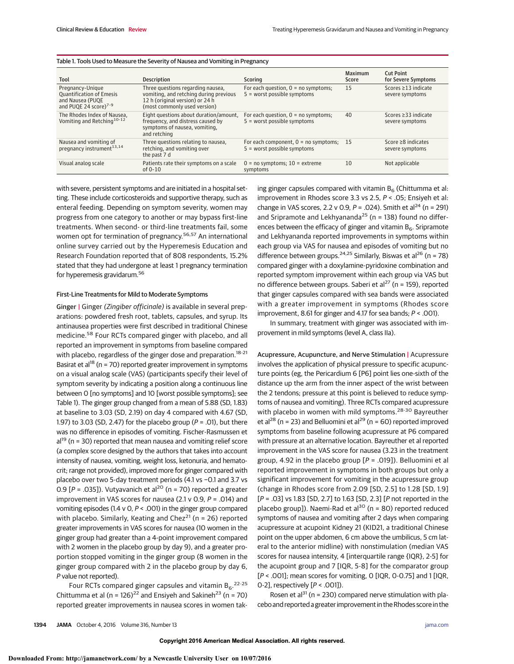| <b>Tool</b>                                                                                                  | <b>Description</b>                                                                                                                             | <b>Scoring</b>                                                           | <b>Maximum</b><br>Score | <b>Cut Point</b><br>for Severe Symptoms      |
|--------------------------------------------------------------------------------------------------------------|------------------------------------------------------------------------------------------------------------------------------------------------|--------------------------------------------------------------------------|-------------------------|----------------------------------------------|
| Pregnancy-Unique<br><b>Ouantification of Emesis</b><br>and Nausea (PUQE<br>and PUOE 24 score) <sup>7-9</sup> | Three questions regarding nausea,<br>vomiting, and retching during previous<br>12 h (original version) or 24 h<br>(most commonly used version) | For each question, $0 = no$ symptoms;<br>$5 =$ worst possible symptoms   | 15                      | Scores $\geq$ 13 indicate<br>severe symptoms |
| The Rhodes Index of Nausea,<br>Vomiting and Retching <sup>10-12</sup>                                        | Eight questions about duration/amount.<br>frequency, and distress caused by<br>symptoms of nausea, vomiting,<br>and retching                   | For each question, $0 = no$ symptoms;<br>$5 =$ worst possible symptoms   | 40                      | Scores $\geq$ 33 indicate<br>severe symptoms |
| Nausea and vomiting of<br>pregnancy instrument <sup>13,14</sup>                                              | Three questions relating to nausea,<br>retching, and vomiting over<br>the past 7 d                                                             | For each component, $0 = no$ symptoms; 15<br>5 = worst possible symptoms |                         | Score $\geq 8$ indicates<br>severe symptoms  |
| Visual analog scale                                                                                          | Patients rate their symptoms on a scale<br>of $0-10$                                                                                           | $0 = no$ symptoms; $10 =$ extreme<br>symptoms                            | 10                      | Not applicable                               |

## Table 1. Tools Used to Measure the Severity of Nausea and Vomiting in Pregnancy

with severe, persistent symptoms and are initiated in a hospital setting. These include corticosteroids and supportive therapy, such as enteral feeding. Depending on symptom severity, women may progress from one category to another or may bypass first-line treatments. When second- or third-line treatments fail, some women opt for termination of pregnancy.<sup>56,57</sup> An international online survey carried out by the Hyperemesis Education and Research Foundation reported that of 808 respondents, 15.2% stated that they had undergone at least 1 pregnancy termination for hyperemesis gravidarum.<sup>56</sup>

# First-Line Treatments for Mild to Moderate Symptoms

Ginger | Ginger (Zingiber officinale) is available in several preparations: powdered fresh root, tablets, capsules, and syrup. Its antinausea properties were first described in traditional Chinese medicine.<sup>58</sup> Four RCTs compared ginger with placebo, and all reported an improvement in symptoms from baseline compared with placebo, regardless of the ginger dose and preparation.<sup>18-21</sup> Basirat et al<sup>18</sup> (n = 70) reported greater improvement in symptoms on a visual analog scale (VAS) (participants specify their level of symptom severity by indicating a position along a continuous line between 0 [no symptoms] and 10 [worst possible symptoms]; see Table 1). The ginger group changed from a mean of 5.88 (SD, 1.83) at baseline to 3.03 (SD, 2.19) on day 4 compared with 4.67 (SD, 1.97) to 3.03 (SD, 2.47) for the placebo group ( $P = .01$ ), but there was no difference in episodes of vomiting. Fischer-Rasmussen et  $al<sup>19</sup>$  (n = 30) reported that mean nausea and vomiting relief score (a complex score designed by the authors that takes into account intensity of nausea, vomiting, weight loss, ketonuria, and hematocrit; range not provided), improved more for ginger compared with placebo over two 5-day treatment periods (4.1 vs −0.1 and 3.7 vs 0.9  $[P = .035]$ ). Vutyavanich et al<sup>20</sup> (n = 70) reported a greater improvement in VAS scores for nausea (2.1 v 0.9,  $P = .014$ ) and vomiting episodes (1.4 v 0,  $P <$  .001) in the ginger group compared with placebo. Similarly, Keating and Chez<sup>21</sup> ( $n = 26$ ) reported greater improvements in VAS scores for nausea (10 women in the ginger group had greater than a 4-point improvement compared with 2 women in the placebo group by day 9), and a greater proportion stopped vomiting in the ginger group (8 women in the ginger group compared with 2 in the placebo group by day 6, P value not reported).

Four RCTs compared ginger capsules and vitamin  $B_6$ .<sup>22-25</sup> Chittumma et al (n = 126)<sup>22</sup> and Ensiyeh and Sakineh<sup>23</sup> (n = 70) reported greater improvements in nausea scores in women taking ginger capsules compared with vitamin  $B_6$  (Chittumma et al: improvement in Rhodes score 3.3 vs 2.5, P < .05; Ensiyeh et al: change in VAS scores, 2.2 v 0.9,  $P = .024$ ). Smith et al<sup>24</sup> (n = 291) and Sripramote and Lekhyananda<sup>25</sup> ( $n = 138$ ) found no differences between the efficacy of ginger and vitamin  $B_6$ . Sripramote and Lekhyananda reported improvements in symptoms within each group via VAS for nausea and episodes of vomiting but no difference between groups.<sup>24,25</sup> Similarly, Biswas et al<sup>26</sup> (n = 78) compared ginger with a doxylamine-pyridoxine combination and reported symptom improvement within each group via VAS but no difference between groups. Saberi et al<sup>27</sup> (n = 159), reported that ginger capsules compared with sea bands were associated with a greater improvement in symptoms (Rhodes score improvement, 8.61 for ginger and 4.17 for sea bands; P < .001).

In summary, treatment with ginger was associated with improvement in mild symptoms (level A, class IIa).

Acupressure, Acupuncture, and Nerve Stimulation | Acupressure involves the application of physical pressure to specific acupuncture points (eg, the Pericardium 6 [P6] point lies one-sixth of the distance up the arm from the inner aspect of the wrist between the 2 tendons; pressure at this point is believed to reduce symptoms of nausea and vomiting). Three RCTs compared acupressure with placebo in women with mild symptoms.<sup>28-30</sup> Bayreuther et al<sup>28</sup> (n = 23) and Belluomini et al<sup>29</sup> (n = 60) reported improved symptoms from baseline following acupressure at P6 compared with pressure at an alternative location. Bayreuther et al reported improvement in the VAS score for nausea (3.23 in the treatment group, 4.92 in the placebo group  $[P = .019]$ ). Belluomini et al reported improvement in symptoms in both groups but only a significant improvement for vomiting in the acupressure group (change in Rhodes score from 2.09 [SD, 2.5] to 1.28 [SD, 1.9]  $[P = .03]$  vs 1.83 [SD, 2.7] to 1.63 [SD, 2.3] [P not reported in the placebo group]). Naemi-Rad et al<sup>30</sup> ( $n = 80$ ) reported reduced symptoms of nausea and vomiting after 2 days when comparing acupressure at acupoint Kidney 21 (KID21, a traditional Chinese point on the upper abdomen, 6 cm above the umbilicus, 5 cm lateral to the anterior midline) with nonstimulation (median VAS scores for nausea intensity, 4 [interquartile range {IQR}, 2-5] for the acupoint group and 7 [IQR, 5-8] for the comparator group [P < .001]; mean scores for vomiting, 0 [IQR, 0-0.75] and 1 [IQR, 0-2], respectively  $[P < .001]$ ).

Rosen et al<sup>31</sup> (n = 230) compared nerve stimulation with placebo and reported a greater improvement in the Rhodes score in the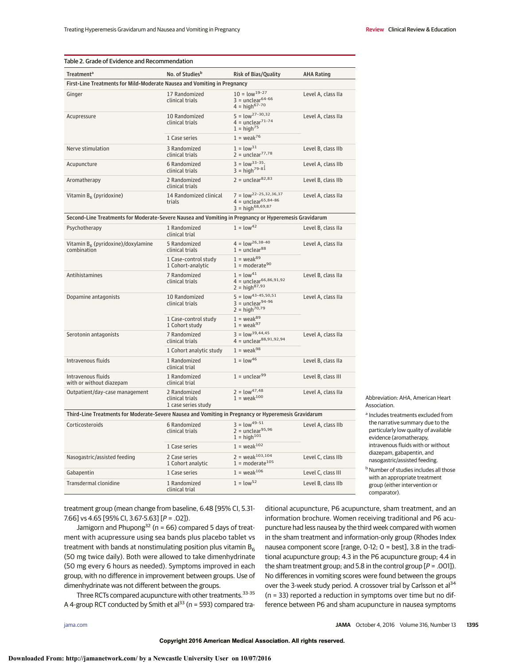| Treatment <sup>a</sup>                                                                                | No. of Studies <sup>b</sup>                            | Risk of Bias/Quality                                                                         | <b>AHA Rating</b>  |  |  |  |  |
|-------------------------------------------------------------------------------------------------------|--------------------------------------------------------|----------------------------------------------------------------------------------------------|--------------------|--|--|--|--|
|                                                                                                       |                                                        |                                                                                              |                    |  |  |  |  |
| First-Line Treatments for Mild-Moderate Nausea and Vomiting in Pregnancy                              |                                                        |                                                                                              |                    |  |  |  |  |
| Ginger                                                                                                | 17 Randomized<br>clinical trials                       | $10 = 10w^{19-27}$<br>$3 =$ unclear <sup>64-66</sup><br>$4 = \frac{\text{high}}{57 - 70}$    | Level A, class IIa |  |  |  |  |
| Acupressure                                                                                           | 10 Randomized<br>clinical trials                       | $5 = \text{low}^{27-30,32}$<br>$4 =$ unclear <sup>71-74</sup><br>$1 =$ high <sup>75</sup>    | Level A, class IIa |  |  |  |  |
|                                                                                                       | 1 Case series                                          | $1 =$ weak <sup>76</sup>                                                                     |                    |  |  |  |  |
| Nerve stimulation                                                                                     | 3 Randomized<br>clinical trials                        | $1 = \text{low}^{31}$<br>$2 =$ unclear <sup>77,78</sup>                                      | Level B, class IIb |  |  |  |  |
| Acupuncture                                                                                           | 6 Randomized<br>clinical trials                        | $3 = low^{33-35}$<br>$3 = high^{79-81}$                                                      | Level A, class IIb |  |  |  |  |
| Aromatherapy                                                                                          | 2 Randomized<br>clinical trials                        | $2$ = unclear <sup>82,83</sup>                                                               | Level B, class IIb |  |  |  |  |
| Vitamin B <sub>6</sub> (pyridoxine)                                                                   | 14 Randomized clinical<br>trials                       | $7 = 10w^{22-25,32,36,37}$<br>$4 =$ unclear <sup>65,84-86</sup><br>$3 = high^{68,69,87}$     | Level A, class IIa |  |  |  |  |
| Second-Line Treatments for Moderate-Severe Nausea and Vomiting in Pregnancy or Hyperemesis Gravidarum |                                                        |                                                                                              |                    |  |  |  |  |
| Psychotherapy                                                                                         | 1 Randomized<br>clinical trial                         | $1 = 10w^{42}$                                                                               | Level B, class IIa |  |  |  |  |
| Vitamin B <sub>6</sub> (pyridoxine)/doxylamine<br>combination                                         | 5 Randomized<br>clinical trials                        | $4 = \log^{26,38-40}$<br>$1 =$ unclear <sup>88</sup>                                         | Level A, class IIa |  |  |  |  |
|                                                                                                       | 1 Case-control study<br>1 Cohort-analytic              | $1 =$ weak <sup>89</sup><br>$1 =$ moderate <sup>90</sup>                                     |                    |  |  |  |  |
| Antihistamines                                                                                        | 7 Randomized<br>clinical trials                        | $1 =$ low <sup>41</sup><br>$4 =$ unclear <sup>66,86,91,92</sup><br>$2 = \text{high}^{87,93}$ | Level B, class IIa |  |  |  |  |
| Dopamine antagonists                                                                                  | 10 Randomized<br>clinical trials                       | $5 = 10w^{43-45,50,51}$<br>$3 =$ unclear <sup>94-96</sup><br>$2 = high^{70,79}$              | Level A, class IIa |  |  |  |  |
|                                                                                                       | 1 Case-control study<br>1 Cohort study                 | $1 =$ weak <sup>89</sup><br>$1 = weak97$                                                     |                    |  |  |  |  |
| Serotonin antagonists                                                                                 | 7 Randomized<br>clinical trials                        | $3 = \text{low}^{39,44,45}$<br>$4 =$ unclear <sup>88,91,92,94</sup>                          | Level A, class IIa |  |  |  |  |
|                                                                                                       | 1 Cohort analytic study                                | $1 =$ weak <sup>98</sup>                                                                     |                    |  |  |  |  |
| Intravenous fluids                                                                                    | 1 Randomized<br>clinical trial                         | $1 = \text{low}^{46}$                                                                        | Level B, class IIa |  |  |  |  |
| Intravenous fluids<br>with or without diazepam                                                        | 1 Randomized<br>clinical trial                         | $1 =$ unclear <sup>99</sup>                                                                  | Level B, class III |  |  |  |  |
| Outpatient/day-case management                                                                        | 2 Randomized<br>clinical trials<br>1 case series study | $2 = 10w^{47,48}$<br>$1 =$ weak <sup>100</sup>                                               | Level A, class IIa |  |  |  |  |
| Third-Line Treatments for Moderate-Severe Nausea and Vomiting in Pregnancy or Hyperemesis Gravidarum  |                                                        |                                                                                              |                    |  |  |  |  |
| Corticosteroids                                                                                       | 6 Randomized<br>clinical trials                        | $3 = \text{low}^{49-51}$<br>$2$ = unclear <sup>95,96</sup><br>$1 = high^{101}$               | Level A, class IIb |  |  |  |  |
|                                                                                                       | 1 Case series                                          | $1 = weak102$                                                                                |                    |  |  |  |  |
| Nasogastric/assisted feeding                                                                          | 2 Case series<br>1 Cohort analytic                     | $2 = weak^{103,104}$<br>$1 =$ moderate <sup>105</sup>                                        | Level C, class IIb |  |  |  |  |
| Gabapentin                                                                                            | 1 Case series                                          | $1 =$ weak <sup>106</sup>                                                                    | Level C, class III |  |  |  |  |
| Transdermal clonidine                                                                                 | 1 Randomized<br>clinical trial                         | $1 = low^{52}$                                                                               | Level B, class IIb |  |  |  |  |

Abbreviation: AHA, American Heart Association.

<sup>a</sup> Includes treatments excluded from the narrative summary due to the particularly low quality of available evidence (aromatherapy, intravenous fluids with or without diazepam, gabapentin, and nasogastric/assisted feeding.

**b** Number of studies includes all those with an appropriate treatment group (either intervention or comparator).

treatment group (mean change from baseline, 6.48 [95% CI, 5.31- 7.66] vs 4.65 [95% CI, 3.67-5.63] [P = .02]).

Jamigorn and Phupong<sup>32</sup> (n = 66) compared 5 days of treatment with acupressure using sea bands plus placebo tablet vs treatment with bands at nonstimulating position plus vitamin  $B_6$ (50 mg twice daily). Both were allowed to take dimenhydrinate (50 mg every 6 hours as needed). Symptoms improved in each group, with no difference in improvement between groups. Use of dimenhydrinate was not different between the groups.

Three RCTs compared acupuncture with other treatments.<sup>33-35</sup> A 4-group RCT conducted by Smith et al<sup>33</sup> (n = 593) compared traditional acupuncture, P6 acupuncture, sham treatment, and an information brochure. Women receiving traditional and P6 acupuncture had less nausea by the third week compared with women in the sham treatment and information-only group (Rhodes Index nausea component score [range, 0-12; 0 = best], 3.8 in the traditional acupuncture group; 4.3 in the P6 acupuncture group; 4.4 in the sham treatment group; and 5.8 in the control group  $[P = .001]$ ). No differences in vomiting scores were found between the groups over the 3-week study period. A crossover trial by Carlsson et al<sup>34</sup> (n = 33) reported a reduction in symptoms over time but no difference between P6 and sham acupuncture in nausea symptoms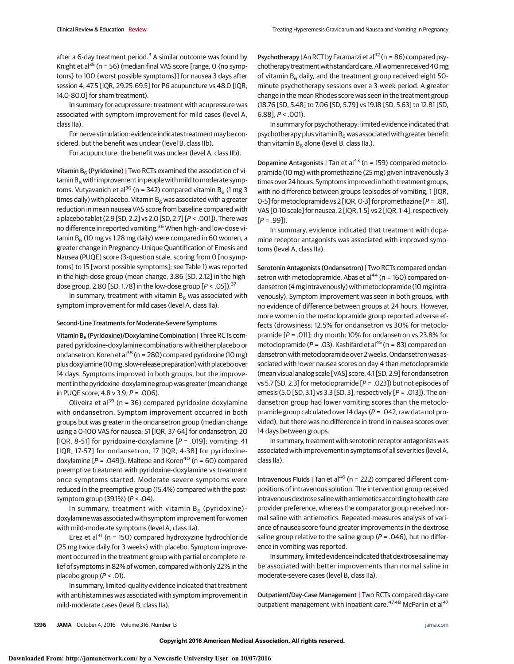after a 6-day treatment period.<sup>3</sup> A similar outcome was found by Knight et al<sup>35</sup> (n = 56) (median final VAS score [range, 0 {no symptoms} to 100 {worst possible symptoms}] for nausea 3 days after session 4, 47.5 [IQR, 29.25-69.5] for P6 acupuncture vs 48.0 [IQR, 14.0-80.0] for sham treatment).

In summary for acupressure: treatment with acupressure was associated with symptom improvement for mild cases (level A, class IIa).

For nerve stimulation: evidence indicates treatment may be considered, but the benefit was unclear (level B, class IIb).

For acupuncture: the benefit was unclear (level A, class IIb).

Vitamin  $B_6$  (Pyridoxine) | Two RCTs examined the association of vitamin  $B_6$  with improvement in people with mild to moderate symptoms. Vutyavanich et al<sup>36</sup> (n = 342) compared vitamin B<sub>6</sub> (1 mg 3 times daily) with placebo. Vitamin  $B_6$  was associated with a greater reduction in mean nausea VAS score from baseline compared with a placebo tablet (2.9 [SD, 2.2] vs 2.0 [SD, 2.7] [P < .001]). There was no difference in reported vomiting.<sup>36</sup> When high- and low-dose vitamin  $B_6$  (10 mg vs 1.28 mg daily) were compared in 60 women, a greater change in Pregnancy-Unique Quantification of Emesis and Nausea (PUQE) score (3-question scale, scoring from 0 [no symptoms] to 15 [worst possible symptoms]; see Table 1) was reported in the high-dose group (mean change, 3.86 [SD, 2.12] in the highdose group, 2.80 [SD, 1.78] in the low-dose group  $[P < .05]$ ).<sup>37</sup>

In summary, treatment with vitamin  $B_6$  was associated with symptom improvement for mild cases (level A, class IIa).

## Second-Line Treatments for Moderate-Severe Symptoms

Vitamin  $B_6$  (Pyridoxine)/Doxylamine Combination | Three RCTs compared pyridoxine-doxylamine combinations with either placebo or ondansetron. Koren et al<sup>38</sup> (n = 280) compared pyridoxine (10 mg) plus doxylamine (10 mg, slow-release preparation) with placebo over 14 days. Symptoms improved in both groups, but the improvement in the pyridoxine-doxylamine groupwas greater (mean change in PUQE score,  $4.8 v 3.9; P = .006$ ).

Oliveira et al<sup>39</sup> (n = 36) compared pyridoxine-doxylamine with ondansetron. Symptom improvement occurred in both groups but was greater in the ondansetron group (median change using a 0-100 VAS for nausea: 51 [IQR, 37-64] for ondansetron, 20 [IQR, 8-51] for pyridoxine-doxylamine  $[P = .019]$ ; vomiting: 41 [IQR, 17-57] for ondansetron, 17 [IQR, 4-38] for pyridoxinedoxylamine  $[P = .049]$ ). Maltepe and Koren<sup>40</sup> (n = 60) compared preemptive treatment with pyridoxine-doxylamine vs treatment once symptoms started. Moderate-severe symptoms were reduced in the preemptive group (15.4%) compared with the postsymptom group  $(39.1%) (P < .04)$ .

In summary, treatment with vitamin  $B_6$  (pyridoxine)doxylamine was associated with symptom improvement for women with mild-moderate symptoms (level A, class IIa).

Erez et al<sup>41</sup> (n = 150) compared hydroxyzine hydrochloride (25 mg twice daily for 3 weeks) with placebo. Symptom improvement occurred in the treatment group with partial or complete relief of symptoms in 82% of women, compared with only 22% in the placebo group ( $P < .01$ ).

In summary, limited-quality evidence indicated that treatment with antihistamines was associated with symptom improvement in mild-moderate cases (level B, class IIa).

Psychotherapy | An RCT by Faramarzi et al $42$  (n = 86) compared psychotherapy treatment with standard care. All women received 40 mg of vitamin  $B_6$  daily, and the treatment group received eight 50minute psychotherapy sessions over a 3-week period. A greater change in the mean Rhodes score was seen in the treatment group (18.76 [SD, 5.48] to 7.06 [SD, 5.79] vs 19.18 [SD, 5.63] to 12.81 [SD,  $6.88$ ],  $P < .001$ ).

In summary for psychotherapy: limited evidence indicated that psychotherapy plus vitamin  $B_6$  was associated with greater benefit than vitamin  $B_6$  alone (level B, class IIa,).

Dopamine Antagonists | Tan et al $^{43}$  (n = 159) compared metoclopramide (10 mg) with promethazine (25 mg) given intravenously 3 times over 24 hours. Symptoms improved in both treatment groups, with no difference between groups (episodes of vomiting, 1 [IQR, 0-5] for metoclopramide vs 2 [IQR, 0-3] for promethazine  $[P = .81]$ , VAS [0-10 scale] for nausea, 2 [IQR, 1-5] vs 2 [IQR, 1-4], respectively  $[P = .99]$ ).

In summary, evidence indicated that treatment with dopamine receptor antagonists was associated with improved symptoms (level A, class IIa).

Serotonin Antagonists (Ondansetron) | Two RCTs compared ondansetron with metoclopramide. Abas et al $44$  (n = 160) compared ondansetron (4 mg intravenously) with metoclopramide (10 mg intravenously). Symptom improvement was seen in both groups, with no evidence of difference between groups at 24 hours. However, more women in the metoclopramide group reported adverse effects (drowsiness: 12.5% for ondansetron vs 30% for metoclopramide [P = .011]; dry mouth: 10% for ondansetron vs 23.8% for metoclopramide ( $P = .03$ ). Kashifard et al<sup>45</sup> (n = 83) compared ondansetron withmetoclopramide over 2 weeks.Ondansetron was associated with lower nausea scores on day 4 than metoclopramide (mean visual analog scale [VAS] score, 4.1 [SD, 2.9] for ondansetron vs 5.7 [SD, 2.3] for metoclopramide  $[P = .023]$ ) but not episodes of emesis (5.0 [SD, 3.1] vs 3.3 [SD, 3], respectively [P = .013]). The ondansetron group had lower vomiting scores than the metoclopramide group calculated over 14 days ( $P = 0.042$ , raw data not provided), but there was no difference in trend in nausea scores over 14 days between groups.

In summary, treatment with serotonin receptor antagonists was associated with improvement in symptoms of all severities (level A, class IIa).

Intravenous Fluids | Tan et al<sup>46</sup> (n = 222) compared different compositions of intravenous solution. The intervention group received intravenous dextrose saline with antiemetics according to health care provider preference, whereas the comparator group received normal saline with antiemetics. Repeated-measures analysis of variance of nausea score found greater improvements in the dextrose saline group relative to the saline group ( $P = .046$ ), but no difference in vomiting was reported.

In summary, limited evidence indicated that dextrose saline may be associated with better improvements than normal saline in moderate-severe cases (level B, class IIa).

Outpatient/Day-Case Management | Two RCTs compared day-care outpatient management with inpatient care. $47,48$  McParlin et al $47$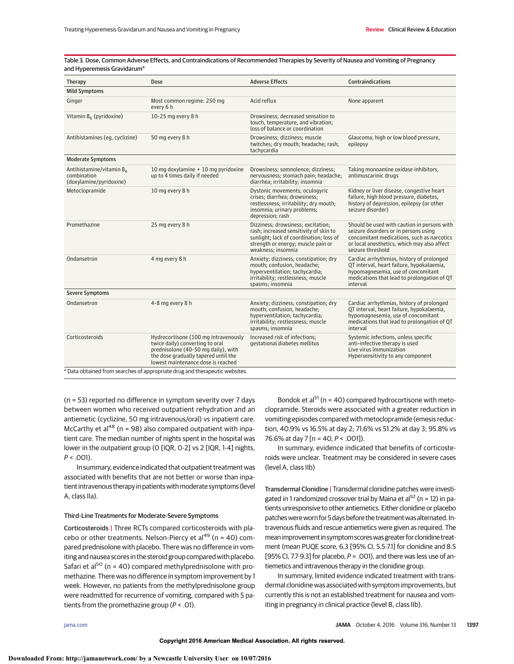Table 3. Dose, Common Adverse Effects, and Contraindications of Recommended Therapies by Severity of Nausea and Vomiting of Pregnancy and Hyperemesis Gravidarum<sup>a</sup>

| <b>Therapy</b>                                                              | Dose                                                                                                                                                                                         | <b>Adverse Effects</b>                                                                                                                                                              | <b>Contraindications</b>                                                                                                                                                                               |  |  |
|-----------------------------------------------------------------------------|----------------------------------------------------------------------------------------------------------------------------------------------------------------------------------------------|-------------------------------------------------------------------------------------------------------------------------------------------------------------------------------------|--------------------------------------------------------------------------------------------------------------------------------------------------------------------------------------------------------|--|--|
| <b>Mild Symptoms</b>                                                        |                                                                                                                                                                                              |                                                                                                                                                                                     |                                                                                                                                                                                                        |  |  |
| Ginger                                                                      | Most common regime: 250 mg<br>every 6 h                                                                                                                                                      | Acid reflux                                                                                                                                                                         | None apparent                                                                                                                                                                                          |  |  |
| Vitamin $B_6$ (pyridoxine)                                                  | 10-25 mg every 8 h                                                                                                                                                                           | Drowsiness; decreased sensation to<br>touch, temperature, and vibration;<br>loss of balance or coordination                                                                         |                                                                                                                                                                                                        |  |  |
| Antihistamines (eg, cyclizine)                                              | 50 mg every 8 h                                                                                                                                                                              | Drowsiness; dizziness; muscle<br>twitches; dry mouth; headache; rash;<br>tachycardia                                                                                                | Glaucoma, high or low blood pressure,<br>epilepsy                                                                                                                                                      |  |  |
| <b>Moderate Symptoms</b>                                                    |                                                                                                                                                                                              |                                                                                                                                                                                     |                                                                                                                                                                                                        |  |  |
| Antihistamine/vitamin $B_6$<br>combination<br>(doxylamine/pyridoxine)       | 10 mg doxylamine + 10 mg pyridoxine<br>up to 4 times daily if needed                                                                                                                         | Drowsiness; somnolence; dizziness;<br>nervousness; stomach pain; headache;<br>diarrhea; irritability; insomnia                                                                      | Taking monoamine oxidase inhibitors,<br>antimuscarinic drugs                                                                                                                                           |  |  |
| Metoclopramide                                                              | 10 mg every 8 h                                                                                                                                                                              | Dystonic movements; oculogyric<br>crises; diarrhea; drowsiness;<br>restlessness; irritability; dry mouth;<br>insomnia; urinary problems;<br>depression; rash                        | Kidney or liver disease, congestive heart<br>failure, high blood pressure, diabetes,<br>history of depression, epilepsy (or other<br>seizure disorder)                                                 |  |  |
| Promethazine                                                                | 25 mg every 8 h                                                                                                                                                                              | Dizziness; drowsiness; excitation;<br>rash; increased sensitivity of skin to<br>sunlight; lack of coordination; loss of<br>strength or energy; muscle pain or<br>weakness; insomnia | Should be used with caution in persons with<br>seizure disorders or in persons using<br>concomitant medications, such as narcotics<br>or local anesthetics, which may also affect<br>seizure threshold |  |  |
| Ondansetron                                                                 | 4 mg every 8 h                                                                                                                                                                               | Anxiety; dizziness; constipation; dry<br>mouth; confusion, headache;<br>hyperventilation; tachycardia;<br>irritability; restlessness; muscle<br>spasms; insomnia                    | Cardiac arrhythmias, history of prolonged<br>QT interval, heart failure, hypokalaemia,<br>hypomagnesemia, use of concomitant<br>medications that lead to prolongation of QT<br>interval                |  |  |
| <b>Severe Symptoms</b>                                                      |                                                                                                                                                                                              |                                                                                                                                                                                     |                                                                                                                                                                                                        |  |  |
| Ondansetron                                                                 | 4-8 mg every 8 h                                                                                                                                                                             | Anxiety; dizziness; constipation; dry<br>mouth; confusion, headache;<br>hyperventilation; tachycardia;<br>irritability; restlessness; muscle<br>spasms; insomnia                    | Cardiac arrhythmias, history of prolonged<br>QT interval, heart failure, hypokalaemia,<br>hypomagnesemia, use of concomitant<br>medications that lead to prolongation of QT<br>interval                |  |  |
| Corticosteroids                                                             | Hydrocortisone (100 mg intravenously<br>twice daily) converting to oral<br>prednisolone (40-50 mg daily), with<br>the dose gradually tapered until the<br>lowest maintenance dose is reached | Increased risk of infections;<br>gestational diabetes mellitus                                                                                                                      | Systemic infections, unless specific<br>anti-infective therapy is used<br>Live virus immunization<br>Hypersensitivity to any component                                                                 |  |  |
| a Data obtained from searches of appropriate drug and therapeutic websites. |                                                                                                                                                                                              |                                                                                                                                                                                     |                                                                                                                                                                                                        |  |  |

(n = 53) reported no difference in symptom severity over 7 days between women who received outpatient rehydration and an antiemetic (cyclizine, 50 mg intravenous/oral) vs inpatient care. McCarthy et al<sup>48</sup> ( $n = 98$ ) also compared outpatient with inpatient care. The median number of nights spent in the hospital was lower in the outpatient group (0 [IQR, 0-2] vs 2 [IQR, 1-4] nights,  $P < .001$ ).

In summary, evidence indicated that outpatient treatment was associated with benefits that are not better or worse than inpatient intravenous therapy in patients with moderate symptoms (level A, class IIa).

# Third-Line Treatments for Moderate-Severe Symptoms

Corticosteroids | Three RCTs compared corticosteroids with placebo or other treatments. Nelson-Piercy et al<sup>49</sup> (n = 40) compared prednisolone with placebo. There was no difference in vomiting and nausea scores in the steroid group compared with placebo. Safari et al<sup>50</sup> ( $n = 40$ ) compared methylprednisolone with promethazine. There was no difference in symptom improvement by 1 week. However, no patients from the methylprednisolone group were readmitted for recurrence of vomiting, compared with 5 patients from the promethazine group ( $P < .01$ ).

Bondok et al<sup>51</sup> ( $n = 40$ ) compared hydrocortisone with metoclopramide. Steroids were associated with a greater reduction in vomiting episodes compared with metoclopramide (emesis reduction, 40.9% vs 16.5% at day 2; 71.6% vs 51.2% at day 3; 95.8% vs 76.6% at day 7 [n = 40, P < .001]).

In summary, evidence indicated that benefits of corticosteroids were unclear. Treatment may be considered in severe cases (level A, class IIb)

Transdermal Clonidine | Transdermal clonidine patches were investigated in 1 randomized crossover trial by Maina et al<sup>52</sup> (n = 12) in patients unresponsive to other antiemetics. Either clonidine or placebo patches were worn for 5 days before the treatment was alternated. Intravenous fluids and rescue antiemetics were given as required. The meanimprovementin symptom scoreswas greater forclonidine treatment (mean PUQE score, 6.3 [95% CI, 5.5-7.1] for clonidine and 8.5 [95% CI, 7.7-9.3] for placebo,  $P = .001$ ), and there was less use of antiemetics and intravenous therapy in the clonidine group.

In summary, limited evidence indicated treatment with transdermal clonidine was associated with symptom improvements, but currently this is not an established treatment for nausea and vomiting in pregnancy in clinical practice (level B, class IIb).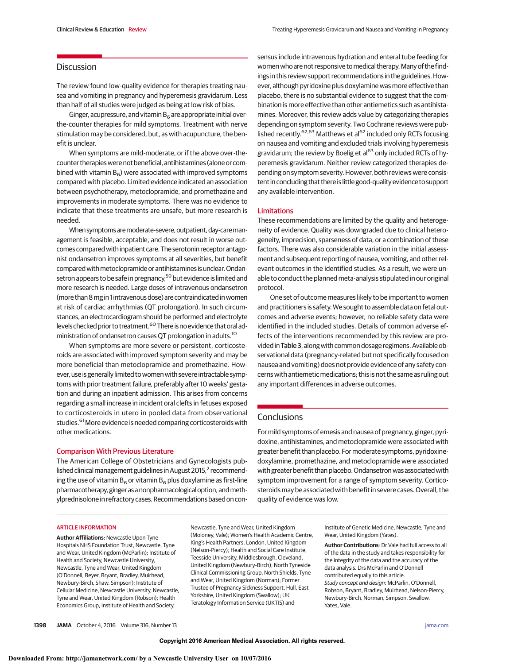# **Discussion**

The review found low-quality evidence for therapies treating nausea and vomiting in pregnancy and hyperemesis gravidarum. Less than half of all studies were judged as being at low risk of bias.

Ginger, acupressure, and vitamin  $B_6$  are appropriate initial overthe-counter therapies for mild symptoms. Treatment with nerve stimulation may be considered, but, as with acupuncture, the benefit is unclear.

When symptoms are mild-moderate, or if the above over-thecounter therapies were not beneficial, antihistamines (alone or combined with vitamin  $B_6$ ) were associated with improved symptoms compared with placebo. Limited evidence indicated an association between psychotherapy, metoclopramide, and promethazine and improvements in moderate symptoms. There was no evidence to indicate that these treatments are unsafe, but more research is needed.

When symptoms are moderate-severe, outpatient, day-care management is feasible, acceptable, and does not result in worse outcomes compared with inpatient care. The serotonin receptor antagonist ondansetron improves symptoms at all severities, but benefit compared with metoclopramide or antihistamines is unclear. Ondansetron appears to be safe in pregnancy,<sup>59</sup> but evidence is limited and more research is needed. Large doses of intravenous ondansetron (more than 8mg in 1 intravenous dose) are contraindicated inwomen at risk of cardiac arrhythmias (QT prolongation). In such circumstances, an electrocardiogram should be performed and electrolyte levels checked prior to treatment.<sup>60</sup> There is no evidence that oral administration of ondansetron causes QT prolongation in adults.10

When symptoms are more severe or persistent, corticosteroids are associated with improved symptom severity and may be more beneficial than metoclopramide and promethazine. However, use is generally limited to women with severe intractable symptoms with prior treatment failure, preferably after 10 weeks' gestation and during an inpatient admission. This arises from concerns regarding a small increase in incident oral clefts in fetuses exposed to corticosteroids in utero in pooled data from observational studies.<sup>61</sup> More evidence is needed comparing corticosteroids with other medications.

# Comparison With Previous Literature

The American College of Obstetricians and Gynecologists published clinical management guidelines in August 2015, $^2$  recommending the use of vitamin  $B_6$  or vitamin  $B_6$  plus doxylamine as first-line pharmacotherapy, ginger as a nonpharmacological option, and methylprednisolone in refractory cases. Recommendations based on con-

# ARTICLE INFORMATION

**Author Affiliations:** Newcastle Upon Tyne Hospitals NHS Foundation Trust, Newcastle, Tyne and Wear, United Kingdom (McParlin); Institute of Health and Society, Newcastle University, Newcastle, Tyne and Wear, United Kingdom (O'Donnell, Beyer, Bryant, Bradley, Muirhead, Newbury-Birch, Shaw, Simpson); Institute of Cellular Medicine, Newcastle University, Newcastle, Tyne and Wear, United Kingdom (Robson); Health Economics Group, Institute of Health and Society,

Newcastle, Tyne and Wear, United Kingdom (Moloney, Vale); Women's Health Academic Centre, King's Health Partners, London, United Kingdom (Nelson-Piercy); Health and Social Care Institute, Teesside University, Middlesbrough, Cleveland, United Kingdom (Newbury-Birch); North Tyneside Clinical Commissioning Group, North Shields, Tyne and Wear, United Kingdom (Norman); Former Trustee of Pregnancy Sickness Support, Hull, East Yorkshire, United Kingdom (Swallow); UK Teratology Information Service (UKTIS) and

sensus include intravenous hydration and enteral tube feeding for women who are not responsive tomedical therapy.Many of the findings in this review support recommendations in the guidelines. However, although pyridoxine plus doxylamine was more effective than placebo, there is no substantial evidence to suggest that the combination is more effective than other antiemetics such as antihistamines. Moreover, this review adds value by categorizing therapies depending on symptom severity. Two Cochrane reviews were published recently.<sup>62,63</sup> Matthews et al<sup>62</sup> included only RCTs focusing on nausea and vomiting and excluded trials involving hyperemesis gravidarum; the review by Boelig et al<sup>63</sup> only included RCTs of hyperemesis gravidarum. Neither review categorized therapies depending on symptom severity. However, both reviews were consistent in concluding that there is little good-qualityevidence to support any available intervention.

#### Limitations

These recommendations are limited by the quality and heterogeneity of evidence. Quality was downgraded due to clinical heterogeneity, imprecision, sparseness of data, or a combination of these factors. There was also considerable variation in the initial assessment and subsequent reporting of nausea, vomiting, and other relevant outcomes in the identified studies. As a result, we were unable to conduct the planned meta-analysis stipulated in our original protocol.

One set of outcome measures likely to be important to women and practitioners is safety.We sought to assemble data on fetal outcomes and adverse events; however, no reliable safety data were identified in the included studies. Details of common adverse effects of the interventions recommended by this review are provided inTable 3, along with common dosage regimens. Available observational data (pregnancy-related but not specifically focused on nausea and vomiting) does not provide evidence of any safety concerns with antiemetic medications; this is not the same as ruling out any important differences in adverse outcomes.

# **Conclusions**

For mild symptoms of emesis and nausea of pregnancy, ginger, pyridoxine, antihistamines, and metoclopramide were associated with greater benefit than placebo. For moderate symptoms, pyridoxinedoxylamine, promethazine, and metoclopramide were associated with greater benefit than placebo. Ondansetron was associated with symptom improvement for a range of symptom severity. Corticosteroids may be associated with benefit in severe cases. Overall, the quality of evidence was low.

> Institute of Genetic Medicine, Newcastle, Tyne and Wear, United Kingdom (Yates).

> **Author Contributions**: Dr Vale had full access to all of the data in the study and takes responsibility for the integrity of the data and the accuracy of the data analysis. Drs McParlin and O'Donnell contributed equally to this article. Study concept and design: McParlin, O'Donnell, Robson, Bryant, Bradley, Muirhead, Nelson-Piercy, Newbury-Birch, Norman, Simpson, Swallow, Yates, Vale.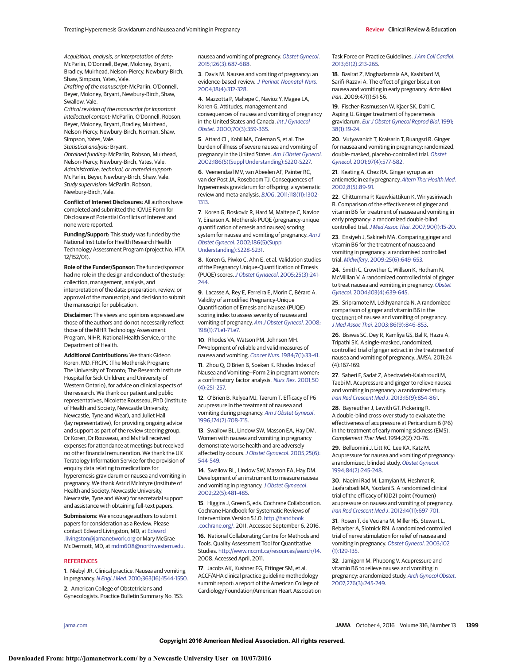Acquisition, analysis, or interpretation of data: McParlin, O'Donnell, Beyer, Moloney, Bryant, Bradley, Muirhead, Nelson-Piercy, Newbury-Birch, Shaw, Simpson, Yates, Vale. Drafting of the manuscript: McParlin, O'Donnell,

Beyer, Moloney, Bryant, Newbury-Birch, Shaw, Swallow, Vale.

Critical revision of the manuscript for important intellectual content: McParlin, O'Donnell, Robson, Beyer, Moloney, Bryant, Bradley, Muirhead, Nelson-Piercy, Newbury-Birch, Norman, Shaw, Simpson, Yates, Vale.

Statistical analysis: Bryant. Obtained funding: McParlin, Robson, Muirhead, Nelson-Piercy, Newbury-Birch, Yates, Vale. Administrative, technical, or material support: McParlin, Beyer, Newbury-Birch, Shaw, Vale. Study supervision: McParlin, Robson, Newbury-Birch, Vale.

**Conflict of Interest Disclosures:** All authors have completed and submitted the ICMJE Form for Disclosure of Potential Conflicts of Interest and none were reported.

**Funding/Support:** This study was funded by the National Institute for Health Research Health Technology Assessment Program (project No. HTA 12/152/01).

**Role of the Funder/Sponsor:** The funder/sponsor had no role in the design and conduct of the study; collection, management, analysis, and interpretation of the data; preparation, review, or approval of the manuscript; and decision to submit the manuscript for publication.

**Disclaimer:** The views and opinions expressed are those of the authors and do not necessarily reflect those of the NIHR Technology Assessment Program, NIHR, National Health Service, or the Department of Health.

**Additional Contributions:** We thank Gideon Koren, MD, FRCPC (The Motherisk Program; The University of Toronto; The Research Institute Hospital for Sick Children; and University of Western Ontario), for advice on clinical aspects of the research. We thank our patient and public representatives, Nicolette Rousseau, PhD (Institute of Health and Society, Newcastle University, Newcastle, Tyne and Wear), and Juliet Hall (lay representative), for providing ongoing advice and support as part of the review steering group. Dr Koren, Dr Rousseau, and Ms Hall received expenses for attendance at meetings but received no other financial remuneration. We thank the UK Teratology Information Service for the provision of enquiry data relating to medications for hyperemesis gravidarum or nausea and vomiting in pregnancy. We thank Astrid McIntyre (Institute of Health and Society, Newcastle University, Newcastle, Tyne and Wear) for secretarial support and assistance with obtaining full-text papers.

**Submissions:** We encourage authors to submit papers for consideration as a Review. Please contact Edward Livingston, MD, at [Edward](mailto:Edward.livingston@jamanetwork.org) [.livingston@jamanetwork.org](mailto:Edward.livingston@jamanetwork.org) or Mary McGrae McDermott, MD, at [mdm608@northwestern.edu.](mailto:mdm608@northwestern.edu)

#### **REFERENCES**

**1**. Niebyl JR. Clinical practice. Nausea and vomiting in pregnancy. N Engl J Med[. 2010;363\(16\):1544-1550.](http://www.ncbi.nlm.nih.gov/pubmed/20942670)

**2**. American College of Obstetricians and Gynecologists. Practice Bulletin Summary No. 153: nausea and vomiting of pregnancy. [Obstet Gynecol](http://www.ncbi.nlm.nih.gov/pubmed/26287781). [2015;126\(3\):687-688.](http://www.ncbi.nlm.nih.gov/pubmed/26287781)

**3**. Davis M. Nausea and vomiting of pregnancy: an evidence-based review. [J Perinat Neonatal Nurs](http://www.ncbi.nlm.nih.gov/pubmed/15646303). [2004;18\(4\):312-328.](http://www.ncbi.nlm.nih.gov/pubmed/15646303)

**4**. Mazzotta P, Maltepe C, Navioz Y, Magee LA, Koren G. Attitudes, management and consequences of nausea and vomiting of pregnancy in the United States and Canada. [Int J Gynaecol](http://www.ncbi.nlm.nih.gov/pubmed/10967171) Obstet[. 2000;70\(3\):359-365.](http://www.ncbi.nlm.nih.gov/pubmed/10967171)

**5**. Attard CL, Kohli MA, Coleman S, et al. The burden of illness of severe nausea and vomiting of pregnancy in the United States. [Am J Obstet Gynecol](http://www.ncbi.nlm.nih.gov/pubmed/12011890). [2002;186\(5\)\(Suppl Understanding\):S220-S227.](http://www.ncbi.nlm.nih.gov/pubmed/12011890)

**6**. Veenendaal MV, van Abeelen AF, Painter RC, van der Post JA, Roseboom TJ. Consequences of hyperemesis gravidarum for offspring: a systematic review and meta-analysis. BJOG[. 2011;118\(11\):1302-](http://www.ncbi.nlm.nih.gov/pubmed/21749625) [1313.](http://www.ncbi.nlm.nih.gov/pubmed/21749625)

**7**. Koren G, Boskovic R, Hard M, Maltepe C, Navioz Y, Einarson A. Motherisk-PUQE (pregnancy-unique quantification of emesis and nausea) scoring system for nausea and vomiting of pregnancy. [Am J](http://www.ncbi.nlm.nih.gov/pubmed/12011891) Obstet Gynecol[. 2002;186\(5\)\(Suppl](http://www.ncbi.nlm.nih.gov/pubmed/12011891) [Understanding\):S228-S231.](http://www.ncbi.nlm.nih.gov/pubmed/12011891)

**8**. Koren G, Piwko C, Ahn E, et al. Validation studies of the Pregnancy Unique-Quantification of Emesis (PUQE) scores.[J Obstet Gynaecol](http://www.ncbi.nlm.nih.gov/pubmed/16147725). 2005;25(3):241- [244.](http://www.ncbi.nlm.nih.gov/pubmed/16147725)

**9**. Lacasse A, Rey E, Ferreira E, Morin C, Bérard A. Validity of a modified Pregnancy-Unique Quantification of Emesis and Nausea (PUQE) scoring index to assess severity of nausea and vomiting of pregnancy. [Am J Obstet Gynecol](http://www.ncbi.nlm.nih.gov/pubmed/18166311). 2008; [198\(1\):71.e1-71.e7.](http://www.ncbi.nlm.nih.gov/pubmed/18166311)

**10**. Rhodes VA, Watson PM, Johnson MH. Development of reliable and valid measures of nausea and vomiting. Cancer Nurs[. 1984;7\(1\):33-41.](http://www.ncbi.nlm.nih.gov/pubmed/6559094)

**11**. Zhou Q, O'Brien B, Soeken K. Rhodes Index of Nausea and Vomiting—Form 2 in pregnant women: a confirmatory factor analysis. Nurs Res[. 2001;50](http://www.ncbi.nlm.nih.gov/pubmed/11480534) [\(4\):251-257.](http://www.ncbi.nlm.nih.gov/pubmed/11480534)

**12**. O'Brien B, Relyea MJ, Taerum T. Efficacy of P6 acupressure in the treatment of nausea and vomiting during pregnancy. [Am J Obstet Gynecol](http://www.ncbi.nlm.nih.gov/pubmed/8623811). [1996;174\(2\):708-715.](http://www.ncbi.nlm.nih.gov/pubmed/8623811)

**13**. Swallow BL, Lindow SW, Masson EA, Hay DM. Women with nausea and vomiting in pregnancy demonstrate worse health and are adversely affected by odours. [J Obstet Gynaecol](http://www.ncbi.nlm.nih.gov/pubmed/16234137). 2005;25(6): [544-549.](http://www.ncbi.nlm.nih.gov/pubmed/16234137)

**14**. Swallow BL, Lindow SW, Masson EA, Hay DM. Development of an instrument to measure nausea and vomiting in pregnancy. [J Obstet Gynaecol](http://www.ncbi.nlm.nih.gov/pubmed/12521412). [2002;22\(5\):481-485.](http://www.ncbi.nlm.nih.gov/pubmed/12521412)

**15**. Higgins J, Green S, eds. Cochrane Collaboration. Cochrane Handbook for Systematic Reviews of Interventions Version 5.1.0. [http://handbook](http://handbook.cochrane.org/) [.cochrane.org/.](http://handbook.cochrane.org/) 2011. Accessed September 6, 2016.

**16**. National Collaborating Centre for Methods and Tools. Quality Assessment Tool for Quantitative Studies. [http://www.nccmt.ca/resources/search/14.](http://www.nccmt.ca/resources/search/14) 2008. Accessed April, 2011.

**17**. Jacobs AK, Kushner FG, Ettinger SM, et al. ACCF/AHA clinical practice guideline methodology summit report: a report of the American College of Cardiology Foundation/American Heart Association

#### Task Force on Practice Guidelines. [J Am Coll Cardiol](http://www.ncbi.nlm.nih.gov/pubmed/23238451). [2013;61\(2\):213-265.](http://www.ncbi.nlm.nih.gov/pubmed/23238451)

**18**. Basirat Z, Moghadamnia AA, Kashifard M, Sarifi-Razavi A. The effect of ginger biscuit on nausea and vomiting in early pregnancy. Acta Med Iran. 2009;47(1):51-56.

**19**. Fischer-Rasmussen W, Kjaer SK, Dahl C, Asping U. Ginger treatment of hyperemesis gravidarum. [Eur J Obstet Gynecol Reprod Biol](http://www.ncbi.nlm.nih.gov/pubmed/1988321). 1991; [38\(1\):19-24.](http://www.ncbi.nlm.nih.gov/pubmed/1988321)

**20**. Vutyavanich T, Kraisarin T, Ruangsri R. Ginger for nausea and vomiting in pregnancy: randomized, double-masked, placebo-controlled trial. [Obstet](http://www.ncbi.nlm.nih.gov/pubmed/11275030) Gynecol[. 2001;97\(4\):577-582.](http://www.ncbi.nlm.nih.gov/pubmed/11275030)

**21**. Keating A, Chez RA. Ginger syrup as an antiemetic in early pregnancy. [Altern Ther Health Med](http://www.ncbi.nlm.nih.gov/pubmed/12233808). [2002;8\(5\):89-91.](http://www.ncbi.nlm.nih.gov/pubmed/12233808)

**22**. Chittumma P, Kaewkiattikun K, Wiriyasiriwach B. Comparison of the effectiveness of ginger and vitamin B6 for treatment of nausea and vomiting in early pregnancy: a randomized double-blind controlled trial.J Med Assoc Thai[. 2007;90\(1\):15-20.](http://www.ncbi.nlm.nih.gov/pubmed/17621727)

**23**. Ensiyeh J, Sakineh MA. Comparing ginger and vitamin B6 for the treatment of nausea and vomiting in pregnancy: a randomised controlled trial. Midwifery[. 2009;25\(6\):649-653.](http://www.ncbi.nlm.nih.gov/pubmed/18272271)

**24**. Smith C, Crowther C, Willson K, Hotham N, McMillian V. A randomized controlled trial of ginger to treat nausea and vomiting in pregnancy. [Obstet](http://www.ncbi.nlm.nih.gov/pubmed/15051552) Gynecol[. 2004;103\(4\):639-645.](http://www.ncbi.nlm.nih.gov/pubmed/15051552)

**25**. Sripramote M, Lekhyananda N. A randomized comparison of ginger and vitamin B6 in the treatment of nausea and vomiting of pregnancy. J Med Assoc Thai[. 2003;86\(9\):846-853.](http://www.ncbi.nlm.nih.gov/pubmed/14649969)

**26**. Biswas SC, Dey R, Kamliya GS, Bal R, Hazra A, Tripathi SK. A single-masked, randomized, controlled trial of ginger extract in the treatment of nausea and vomiting of pregnancy.JIMSA. 2011;24 (4):167-169.

**27**. Saberi F, Sadat Z, Abedzadeh-Kalahroudi M, Taebi M. Acupressure and ginger to relieve nausea and vomiting in pregnancy: a randomized study. [Iran Red Crescent Med J](http://www.ncbi.nlm.nih.gov/pubmed/24616799). 2013;15(9):854-861.

**28**. Bayreuther J, Lewith GT, Pickering R. A double-blind cross-over study to evaluate the effectiveness of acupressure at Pericardium 6 (P6) in the treatment of early morning sickness (EMS). Complement Ther Med. 1994;2(2):70-76.

**29**. Belluomini J, Litt RC, Lee KA, Katz M. Acupressure for nausea and vomiting of pregnancy: a randomized, blinded study. [Obstet Gynecol](http://www.ncbi.nlm.nih.gov/pubmed/8041539). [1994;84\(2\):245-248.](http://www.ncbi.nlm.nih.gov/pubmed/8041539)

**30**. Naeimi Rad M, Lamyian M, Heshmat R, Jaafarabadi MA, Yazdani S. A randomized clinical trial of the efficacy of KID21 point (Youmen) acupressure on nausea and vomiting of pregnancy. [Iran Red Crescent Med J](http://www.ncbi.nlm.nih.gov/pubmed/23397064). 2012;14(11):697-701.

**31**. Rosen T, de Veciana M, Miller HS, Stewart L, Rebarber A, Slotnick RN. A randomized controlled trial of nerve stimulation for relief of nausea and vomiting in pregnancy. [Obstet Gynecol](http://www.ncbi.nlm.nih.gov/pubmed/12850618). 2003;102 [\(1\):129-135.](http://www.ncbi.nlm.nih.gov/pubmed/12850618)

**32**. Jamigorn M, Phupong V. Acupressure and vitamin B6 to relieve nausea and vomiting in pregnancy: a randomized study. [Arch Gynecol Obstet](http://www.ncbi.nlm.nih.gov/pubmed/17318558). [2007;276\(3\):245-249.](http://www.ncbi.nlm.nih.gov/pubmed/17318558)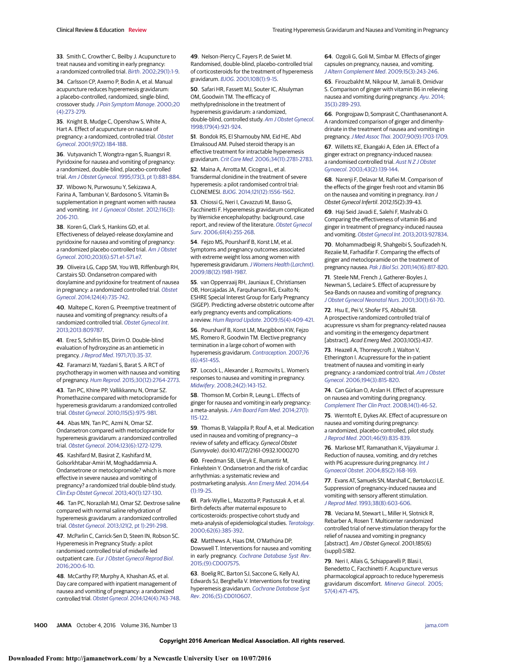**33**. Smith C, Crowther C, Beilby J. Acupuncture to treat nausea and vomiting in early pregnancy: a randomized controlled trial. Birth[. 2002;29\(1\):1-9.](http://www.ncbi.nlm.nih.gov/pubmed/11843784)

**34**. Carlsson CP, Axemo P, Bodin A, et al. Manual acupuncture reduces hyperemesis gravidarum: a placebo-controlled, randomized, single-blind, crossover study.[J Pain Symptom Manage](http://www.ncbi.nlm.nih.gov/pubmed/11027909). 2000;20 [\(4\):273-279.](http://www.ncbi.nlm.nih.gov/pubmed/11027909)

**35**. Knight B, Mudge C, Openshaw S, White A, Hart A. Effect of acupuncture on nausea of pregnancy: a randomized, controlled trial. [Obstet](http://www.ncbi.nlm.nih.gov/pubmed/11165579) Gynecol[. 2001;97\(2\):184-188.](http://www.ncbi.nlm.nih.gov/pubmed/11165579)

**36**. Vutyavanich T, Wongtra-ngan S, Ruangsri R. Pyridoxine for nausea and vomiting of pregnancy: a randomized, double-blind, placebo-controlled trial. Am J Obstet Gynecol[. 1995;173\(3, pt 1\):881-884.](http://www.ncbi.nlm.nih.gov/pubmed/7573262)

**37**. Wibowo N, Purwosunu Y, Sekizawa A, Farina A, Tambunan V, Bardosono S. Vitamin B6 supplementation in pregnant women with nausea and vomiting. [Int J Gynaecol Obstet](http://www.ncbi.nlm.nih.gov/pubmed/22189065). 2012;116(3): [206-210.](http://www.ncbi.nlm.nih.gov/pubmed/22189065)

**38**. Koren G, Clark S, Hankins GD, et al. Effectiveness of delayed-release doxylamine and pyridoxine for nausea and vomiting of pregnancy: a randomized placebo controlled trial. [Am J Obstet](http://www.ncbi.nlm.nih.gov/pubmed/20843504) Gynecol[. 2010;203\(6\):571.e1-571.e7.](http://www.ncbi.nlm.nih.gov/pubmed/20843504)

**39**. Oliveira LG, Capp SM, You WB, Riffenburgh RH, Carstairs SD. Ondansetron compared with doxylamine and pyridoxine for treatment of nausea in pregnancy: a randomized controlled trial. [Obstet](http://www.ncbi.nlm.nih.gov/pubmed/25198265) Gynecol[. 2014;124\(4\):735-742.](http://www.ncbi.nlm.nih.gov/pubmed/25198265)

**40**. Maltepe C, Koren G. Preemptive treatment of nausea and vomiting of pregnancy: results of a randomized controlled trial. [Obstet Gynecol Int](http://www.ncbi.nlm.nih.gov/pubmed/23476657). [2013;2013:809787.](http://www.ncbi.nlm.nih.gov/pubmed/23476657)

**41**. Erez S, Schifrin BS, Dirim O. Double-blind evaluation of hydroxyzine as an antiemetic in pregancy.J Reprod Med[. 1971;7\(1\):35-37.](http://www.ncbi.nlm.nih.gov/pubmed/4948652)

**42**. Faramarzi M, Yazdani S, Barat S. A RCT of psychotherapy in women with nausea and vomiting of pregnancy. Hum Reprod[. 2015;30\(12\):2764-2773.](http://www.ncbi.nlm.nih.gov/pubmed/26466913)

**43**. Tan PC, Khine PP, Vallikkannu N, Omar SZ. Promethazine compared with metoclopramide for hyperemesis gravidarum: a randomized controlled trial. Obstet Gynecol[. 2010;115\(5\):975-981.](http://www.ncbi.nlm.nih.gov/pubmed/20410771)

**44**. Abas MN, Tan PC, Azmi N, Omar SZ. Ondansetron compared with metoclopramide for hyperemesis gravidarum: a randomized controlled trial. Obstet Gynecol[. 2014;123\(6\):1272-1279.](http://www.ncbi.nlm.nih.gov/pubmed/24807340)

**45**. Kashifard M, Basirat Z, Kashifard M, Golsorkhtabar-Amiri M, Moghaddamnia A. Ondansetrone or metoclopromide? which is more effective in severe nausea and vomiting of pregnancy? a randomized trial double-blind study. [Clin Exp Obstet Gynecol](http://www.ncbi.nlm.nih.gov/pubmed/23724526). 2013;40(1):127-130.

**46**. Tan PC, Norazilah MJ, Omar SZ. Dextrose saline compared with normal saline rehydration of hyperemesis gravidarum: a randomized controlled trial. Obstet Gynecol[. 2013;121\(2, pt 1\):291-298.](http://www.ncbi.nlm.nih.gov/pubmed/23232754)

**47**. McParlin C, Carrick-Sen D, Steen IN, Robson SC. Hyperemesis in Pregnancy Study: a pilot randomised controlled trial of midwife-led outpatient care. [Eur J Obstet Gynecol Reprod Biol](http://www.ncbi.nlm.nih.gov/pubmed/26963896). [2016;200:6-10.](http://www.ncbi.nlm.nih.gov/pubmed/26963896)

**48**. McCarthy FP, Murphy A, Khashan AS, et al. Day care compared with inpatient management of nausea and vomiting of pregnancy: a randomized controlled trial.Obstet Gynecol[. 2014;124\(4\):743-748.](http://www.ncbi.nlm.nih.gov/pubmed/25198263) **49**. Nelson-Piercy C, Fayers P, de Swiet M. Randomised, double-blind, placebo-controlled trial of corticosteroids for the treatment of hyperemesis gravidarum. BJOG[. 2001;108\(1\):9-15.](http://www.ncbi.nlm.nih.gov/pubmed/11213010)

**50**. Safari HR, Fassett MJ, Souter IC, Alsulyman OM, Goodwin TM. The efficacy of methylprednisolone in the treatment of hyperemesis gravidarum: a randomized, double-blind, controlled study. [Am J Obstet Gynecol](http://www.ncbi.nlm.nih.gov/pubmed/9790371). [1998;179\(4\):921-924.](http://www.ncbi.nlm.nih.gov/pubmed/9790371)

**51**. Bondok RS, El Sharnouby NM, Eid HE, Abd Elmaksoud AM. Pulsed steroid therapy is an effective treatment for intractable hyperemesis gravidarum. Crit Care Med[. 2006;34\(11\):2781-2783.](http://www.ncbi.nlm.nih.gov/pubmed/16957638)

**52**. Maina A, Arrotta M, Cicogna L, et al. Transdermal clonidine in the treatment of severe hyperemesis: a pilot randomised control trial: CLONEMESI. BJOG[. 2014;121\(12\):1556-1562.](http://www.ncbi.nlm.nih.gov/pubmed/24684734)

**53**. Chiossi G, Neri I, Cavazzuti M, Basso G, Facchinetti F. Hyperemesis gravidarum complicated by Wernicke encephalopathy: background, case report, and review of the literature. [Obstet Gynecol](http://www.ncbi.nlm.nih.gov/pubmed/16551377) Surv[. 2006;61\(4\):255-268.](http://www.ncbi.nlm.nih.gov/pubmed/16551377)

**54**. Fejzo MS, Poursharif B, Korst LM, et al. Symptoms and pregnancy outcomes associated with extreme weight loss among women with hyperemesis gravidarum.[J Womens Health \(Larchmt\)](http://www.ncbi.nlm.nih.gov/pubmed/20044860). [2009;18\(12\):1981-1987.](http://www.ncbi.nlm.nih.gov/pubmed/20044860)

**55**. van Oppenraaij RH, Jauniaux E, Christiansen OB, Horcajadas JA, Farquharson RG, Exalto N; ESHRE Special Interest Group for Early Pregnancy (SIGEP). Predicting adverse obstetric outcome after early pregnancy events and complications: a review. Hum Reprod Update[. 2009;15\(4\):409-421.](http://www.ncbi.nlm.nih.gov/pubmed/19270317)

**56**. Poursharif B, Korst LM, Macgibbon KW, Fejzo MS, Romero R, Goodwin TM. Elective pregnancy termination in a large cohort of women with hyperemesis gravidarum. [Contraception](http://www.ncbi.nlm.nih.gov/pubmed/18061703). 2007;76 [\(6\):451-455.](http://www.ncbi.nlm.nih.gov/pubmed/18061703)

**57**. Locock L, Alexander J, Rozmovits L. Women's responses to nausea and vomiting in pregnancy. Midwifery[. 2008;24\(2\):143-152.](http://www.ncbi.nlm.nih.gov/pubmed/17316935)

**58**. Thomson M, Corbin R, Leung L. Effects of ginger for nausea and vomiting in early pregnancy: a meta-analysis.[J Am Board Fam Med](http://www.ncbi.nlm.nih.gov/pubmed/24390893). 2014;27(1): [115-122.](http://www.ncbi.nlm.nih.gov/pubmed/24390893)

**59**. Thomas B, Valappila P, Rouf A, et al. Medication used in nausea and vomiting of pregnancy—a review of safety and efficacy. Gynecol Obstet (Sunnyvale). doi:10.4172/2161-0932.1000270

**60**. Freedman SB, Uleryk E, Rumantir M, Finkelstein Y. Ondansetron and the risk of cardiac arrhythmias: a systematic review and postmarketing analysis. [Ann Emerg Med](http://www.ncbi.nlm.nih.gov/pubmed/24314899). 2014;64 [\(1\):19-25.](http://www.ncbi.nlm.nih.gov/pubmed/24314899)

**61**. Park-Wyllie L, Mazzotta P, Pastuszak A, et al. Birth defects after maternal exposure to corticosteroids: prospective cohort study and meta-analysis of epidemiological studies. [Teratology](http://www.ncbi.nlm.nih.gov/pubmed/11091360). [2000;62\(6\):385-392.](http://www.ncbi.nlm.nih.gov/pubmed/11091360)

**62**. Matthews A, Haas DM, O'Mathúna DP, Dowswell T. Interventions for nausea and vomiting in early pregnancy. [Cochrane Database Syst Rev](http://www.ncbi.nlm.nih.gov/pubmed/26348534). [2015;\(9\):CD007575.](http://www.ncbi.nlm.nih.gov/pubmed/26348534)

**63**. Boelig RC, Barton SJ, Saccone G, Kelly AJ, Edwards SJ, Berghella V. Interventions for treating hyperemesis gravidarum. [Cochrane Database Syst](http://www.ncbi.nlm.nih.gov/pubmed/27168518) Rev[. 2016;\(5\):CD010607.](http://www.ncbi.nlm.nih.gov/pubmed/27168518)

**64**. Ozgoli G, Goli M, Simbar M. Effects of ginger capsules on pregnancy, nausea, and vomiting. [J Altern Complement Med](http://www.ncbi.nlm.nih.gov/pubmed/19250006). 2009;15(3):243-246.

**65**. Firouzbakht M, Nikpour M, Jamali B, Omidvar S. Comparison of ginger with vitamin B6 in relieving nausea and vomiting during pregnancy. Ayu[. 2014;](http://www.ncbi.nlm.nih.gov/pubmed/26664238) [35\(3\):289-293.](http://www.ncbi.nlm.nih.gov/pubmed/26664238)

**66**. Pongrojpaw D, Somprasit C, Chanthasenanont A. A randomized comparison of ginger and dimenhydrinate in the treatment of nausea and vomiting in pregnancy.J Med Assoc Thai[. 2007;90\(9\):1703-1709.](http://www.ncbi.nlm.nih.gov/pubmed/17957907)

**67**. Willetts KE, Ekangaki A, Eden JA. Effect of a ginger extract on pregnancy-induced nausea: a randomised controlled trial. [Aust N Z J Obstet](http://www.ncbi.nlm.nih.gov/pubmed/14712970) Gynaecol[. 2003;43\(2\):139-144.](http://www.ncbi.nlm.nih.gov/pubmed/14712970)

**68**. Narenji F, Delavar M, Rafiei M. Comparison of the effects of the ginger fresh root and vitamin B6 on the nausea and vomiting in pregnancy. Iran J Obstet Gynecol Infertil. 2012;15(2):39-43.

**69**. Haji Seid Javadi E, Salehi F, Mashrabi O. Comparing the effectiveness of vitamin B6 and ginger in treatment of pregnancy-induced nausea and vomiting. Obstet Gynecol Int[. 2013;2013:927834.](http://www.ncbi.nlm.nih.gov/pubmed/24250336)

**70**. Mohammadbeigi R, Shahgeibi S, Soufizadeh N, Rezaiie M, Farhadifar F. Comparing the effects of ginger and metoclopramide on the treatment of pregnancy nausea. Pak J Biol Sci[. 2011;14\(16\):817-820.](http://www.ncbi.nlm.nih.gov/pubmed/22545357)

**71**. Steele NM, French J, Gatherer-Boyles J, Newman S, Leclaire S. Effect of acupressure by Sea-Bands on nausea and vomiting of pregnancy. [J Obstet Gynecol Neonatal Nurs](http://www.ncbi.nlm.nih.gov/pubmed/11277163). 2001;30(1):61-70.

**72**. Hsu E, Pei V, Shofer FS, Abbuhl SB. A prospective randomized controlled trial of acupressure vs sham for pregnancy-related nausea and vomiting in the emergency department [abstract]. Acad Emerg Med. 2003;10(5):437.

**73**. Heazell A, Thorneycroft J, Walton V, Etherington I. Acupressure for the in-patient treatment of nausea and vomiting in early pregnancy: a randomized control trial. [Am J Obstet](http://www.ncbi.nlm.nih.gov/pubmed/16522418) Gynecol[. 2006;194\(3\):815-820.](http://www.ncbi.nlm.nih.gov/pubmed/16522418)

**74**. Can Gürkan O, Arslan H. Effect of acupressure on nausea and vomiting during pregnancy. [Complement Ther Clin Pract](http://www.ncbi.nlm.nih.gov/pubmed/18243942). 2008;14(1):46-52.

**75**. Werntoft E, Dykes AK. Effect of acupressure on nausea and vomiting during pregnancy: a randomized, placebo-controlled, pilot study. J Reprod Med[. 2001;46\(9\):835-839.](http://www.ncbi.nlm.nih.gov/pubmed/11584487)

**76**. Markose MT, Ramanathan K, Vijayakumar J. Reduction of nausea, vomiting, and dry retches with P6 acupressure during pregnancy. *[Int J](http://www.ncbi.nlm.nih.gov/pubmed/15099782)* Gynaecol Obstet[. 2004;85\(2\):168-169.](http://www.ncbi.nlm.nih.gov/pubmed/15099782)

**77**. Evans AT, Samuels SN, Marshall C, Bertolucci LE. Suppression of pregnancy-induced nausea and vomiting with sensory afferent stimulation. J Reprod Med[. 1993;38\(8\):603-606.](http://www.ncbi.nlm.nih.gov/pubmed/8410865)

**78**. Veciana M, Stewart L, Miller H, Slotnick R, Rebarber A, Rosen T. Multicenter randomized controlled trial of nerve stimulation therapy for the relief of nausea and vomiting in pregnancy [abstract]. Am J Obstet Gynecol. 2001;185(6) (suppl):S182.

**79**. Neri I, Allais G, Schiapparelli P, Blasi I, Benedetto C, Facchinetti F. Acupuncture versus pharmacological approach to reduce hyperemesis gravidarum discomfort. [Minerva Ginecol](http://www.ncbi.nlm.nih.gov/pubmed/16170293). 2005; [57\(4\):471-475.](http://www.ncbi.nlm.nih.gov/pubmed/16170293)